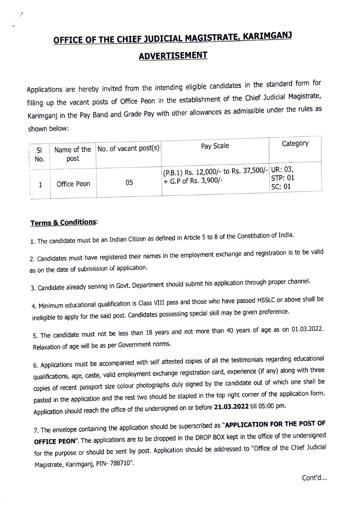## OFFICE OF THE CHIEF JUDICIAL MAGISTRATE, KARIMGANJ ADVERTISEMENT

Applications are hereby invited from the intending eligible candidates in the standard form for filling up the vacant posts of Office Peon in the establishment of the Chief Judicial Magistrate, Karimganj in the Pay Band and Grade Pay with other allowances as admissible under the rules as shown below:

| SI<br>No. | post        | Name of the $ No.$ of vacant post(s) $ $ | Pay Scale                                                                      | Category                 |
|-----------|-------------|------------------------------------------|--------------------------------------------------------------------------------|--------------------------|
|           | Office Peon | 05                                       | $\vert$ (P.B.1) Rs. 12,000/- to Rs. 37,500/- UR: 03,<br>$+$ G.P of Rs. 3,900/- | <b>STP: 01</b><br>SC: 01 |

## **Terms & Conditions:**

1. The candidate must be an Indian Citizen as defined in Article 5 to 8 of the Constitution of India.

2. Candidates must have registered their names in the employment exchange and registration is to be valid as on the date of submission of application.

3. Candidate already serving in Govt. Department should submit his application through proper channel.

4. Minimum educational qualification is Class VIlI pass and those who have passed HSSLC or above shall be ineligible to apply for the said post. Candidates possessing special skill may be given preference.

5. The candidate must not be less than 18 years and not more than 40 years of age as on 01.03.2022. Relaxation of age will be as per Government norms.

6. Applications must be accompanied with self attested copies of all the testimonials regarding educational qualifications, age, caste, valid employment exchange registration card, experience (if any) along with three copies of recent passport size colour photographs duly signed by the candidate out of which one shall be pasted in the application and the rest two should be stapled in the top right corner of the application form. Application should reach the office of the undersigned on or before 21.03.2022 till 05:00 pm.

7. The envelope containing the application should be superscribed as "APPLICATION FOR THE POST OF OFFICE PEON". The applications are to be dropped in the DROP BOX kept in the office of the undersigned for the purpose or should be sent by post. Application should be addressed to "Office of the Chief Judicial Magistrate, Karimganj, PIN- 788710"

Cont'd..